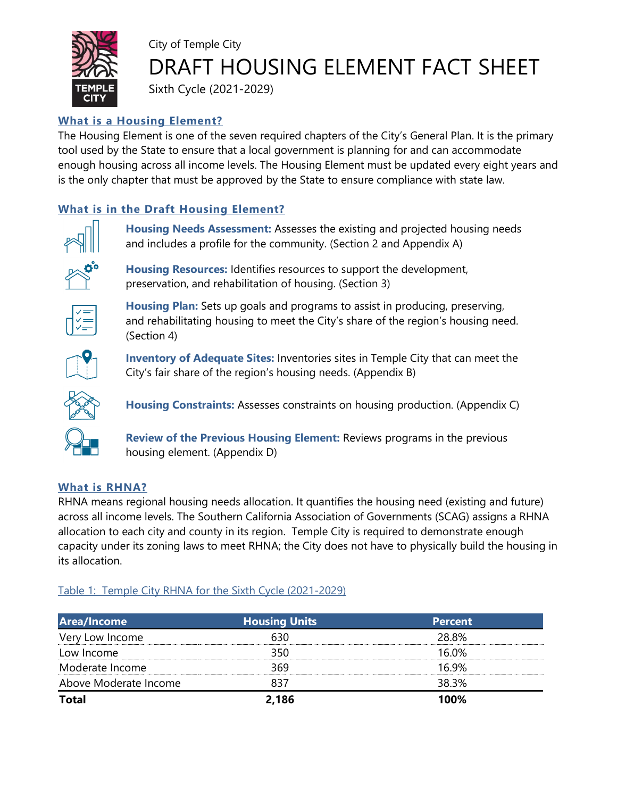

# City of Temple City DRAFT HOUSING ELEMENT FACT SHEET

Sixth Cycle (2021-2029)

## **What is a Housing Element?**

The Housing Element is one of the seven required chapters of the City's General Plan. It is the primary tool used by the State to ensure that a local government is planning for and can accommodate enough housing across all income levels. The Housing Element must be updated every eight years and is the only chapter that must be approved by the State to ensure compliance with state law.

## **What is in the Draft Housing Element?**



**Housing Needs Assessment:** Assesses the existing and projected housing needs and includes a profile for the community. (Section 2 and Appendix A)



**Housing Resources:** Identifies resources to support the development, preservation, and rehabilitation of housing. (Section 3)

City's fair share of the region's housing needs. (Appendix B)



**Housing Plan:** Sets up goals and programs to assist in producing, preserving, and rehabilitating housing to meet the City's share of the region's housing need. (Section 4)

**Inventory of Adequate Sites:** Inventories sites in Temple City that can meet the



**Housing Constraints:** Assesses constraints on housing production. (Appendix C)

**Review of the Previous Housing Element:** Reviews programs in the previous housing element. (Appendix D)

### **What is RHNA?**

RHNA means regional housing needs allocation. It quantifies the housing need (existing and future) across all income levels. The Southern California Association of Governments (SCAG) assigns a RHNA allocation to each city and county in its region. Temple City is required to demonstrate enough capacity under its zoning laws to meet RHNA; the City does not have to physically build the housing in its allocation.

## Table 1: Temple City RHNA for the Sixth Cycle (2021-2029)

| Area/Income           | <b>Housing Units</b> | <b>Percent</b> |
|-----------------------|----------------------|----------------|
| Very Low Income       | 630                  | 28.8%          |
| Low Income            | 350                  | 16.0%          |
| Moderate Income       | 369                  | 16.9%          |
| Above Moderate Income | 837                  | 38.3%          |
| <b>Total</b>          | 2,186                | 100%           |